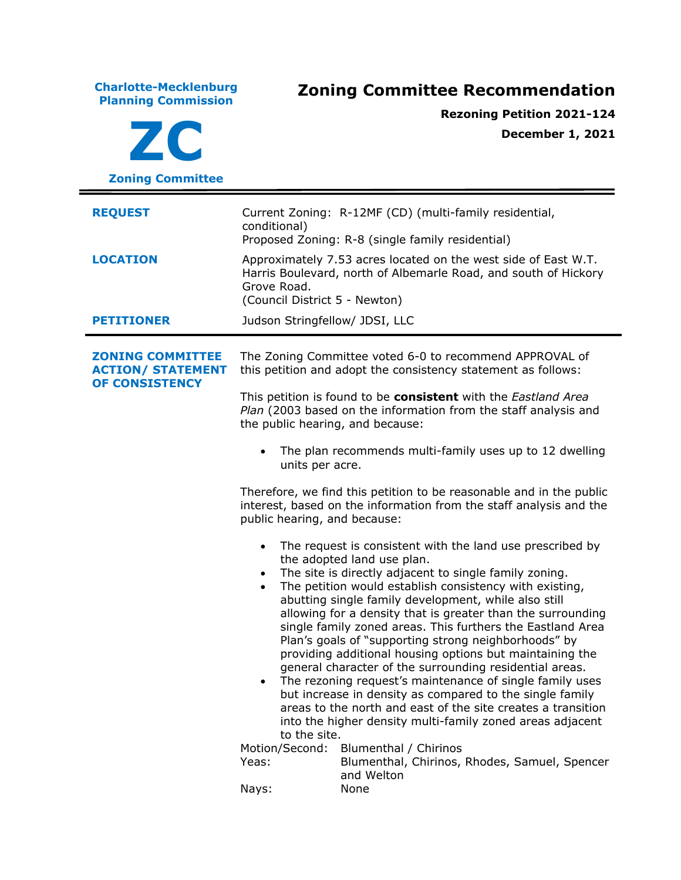| <b>Charlotte-Mecklenburg</b><br><b>Planning Commission</b><br>ZC             | <b>Zoning Committee Recommendation</b><br><b>Rezoning Petition 2021-124</b><br><b>December 1, 2021</b>                                                                                                                                                                                                                                                                                                                                                                                                                                                                                                                                                                                                                                                                                                                                                                                                                                                                                                 |  |
|------------------------------------------------------------------------------|--------------------------------------------------------------------------------------------------------------------------------------------------------------------------------------------------------------------------------------------------------------------------------------------------------------------------------------------------------------------------------------------------------------------------------------------------------------------------------------------------------------------------------------------------------------------------------------------------------------------------------------------------------------------------------------------------------------------------------------------------------------------------------------------------------------------------------------------------------------------------------------------------------------------------------------------------------------------------------------------------------|--|
| <b>Zoning Committee</b>                                                      |                                                                                                                                                                                                                                                                                                                                                                                                                                                                                                                                                                                                                                                                                                                                                                                                                                                                                                                                                                                                        |  |
| <b>REQUEST</b>                                                               | Current Zoning: R-12MF (CD) (multi-family residential,<br>conditional)<br>Proposed Zoning: R-8 (single family residential)<br>Approximately 7.53 acres located on the west side of East W.T.<br>Harris Boulevard, north of Albemarle Road, and south of Hickory<br>Grove Road.<br>(Council District 5 - Newton)                                                                                                                                                                                                                                                                                                                                                                                                                                                                                                                                                                                                                                                                                        |  |
| <b>LOCATION</b>                                                              |                                                                                                                                                                                                                                                                                                                                                                                                                                                                                                                                                                                                                                                                                                                                                                                                                                                                                                                                                                                                        |  |
| <b>PETITIONER</b>                                                            | Judson Stringfellow/ JDSI, LLC                                                                                                                                                                                                                                                                                                                                                                                                                                                                                                                                                                                                                                                                                                                                                                                                                                                                                                                                                                         |  |
| <b>ZONING COMMITTEE</b><br><b>ACTION/ STATEMENT</b><br><b>OF CONSISTENCY</b> | The Zoning Committee voted 6-0 to recommend APPROVAL of<br>this petition and adopt the consistency statement as follows:                                                                                                                                                                                                                                                                                                                                                                                                                                                                                                                                                                                                                                                                                                                                                                                                                                                                               |  |
|                                                                              | This petition is found to be consistent with the Eastland Area<br>Plan (2003 based on the information from the staff analysis and<br>the public hearing, and because:                                                                                                                                                                                                                                                                                                                                                                                                                                                                                                                                                                                                                                                                                                                                                                                                                                  |  |
|                                                                              | The plan recommends multi-family uses up to 12 dwelling<br>units per acre.                                                                                                                                                                                                                                                                                                                                                                                                                                                                                                                                                                                                                                                                                                                                                                                                                                                                                                                             |  |
|                                                                              | Therefore, we find this petition to be reasonable and in the public<br>interest, based on the information from the staff analysis and the<br>public hearing, and because:                                                                                                                                                                                                                                                                                                                                                                                                                                                                                                                                                                                                                                                                                                                                                                                                                              |  |
|                                                                              | The request is consistent with the land use prescribed by<br>the adopted land use plan.<br>The site is directly adjacent to single family zoning.<br>The petition would establish consistency with existing,<br>abutting single family development, while also still<br>allowing for a density that is greater than the surrounding<br>single family zoned areas. This furthers the Eastland Area<br>Plan's goals of "supporting strong neighborhoods" by<br>providing additional housing options but maintaining the<br>general character of the surrounding residential areas.<br>The rezoning request's maintenance of single family uses<br>$\bullet$<br>but increase in density as compared to the single family<br>areas to the north and east of the site creates a transition<br>into the higher density multi-family zoned areas adjacent<br>to the site.<br>Motion/Second:<br>Blumenthal / Chirinos<br>Yeas:<br>Blumenthal, Chirinos, Rhodes, Samuel, Spencer<br>and Welton<br>Nays:<br>None |  |